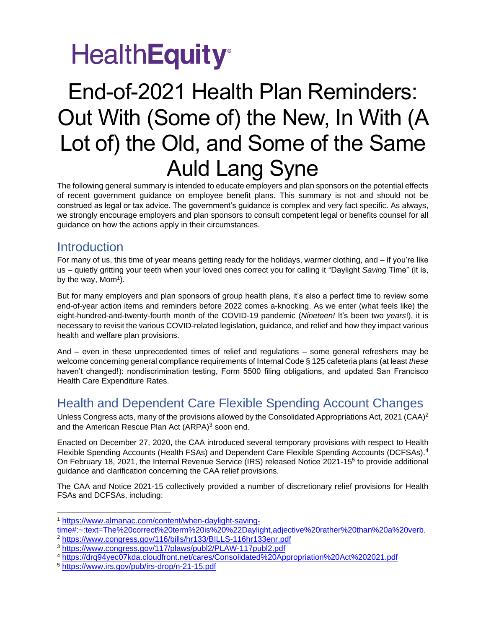## End-of-2021 Health Plan Reminders: Out With (Some of) the New, In With (A Lot of) the Old, and Some of the Same Auld Lang Syne

The following general summary is intended to educate employers and plan sponsors on the potential effects of recent government guidance on employee benefit plans. This summary is not and should not be construed as legal or tax advice. The government's guidance is complex and very fact specific. As always, we strongly encourage employers and plan sponsors to consult competent legal or benefits counsel for all guidance on how the actions apply in their circumstances.

### **Introduction**

For many of us, this time of year means getting ready for the holidays, warmer clothing, and – if you're like us – quietly gritting your teeth when your loved ones correct you for calling it "Daylight *Saving* Time" (it is, by the way, Mom<sup>1</sup>).

But for many employers and plan sponsors of group health plans, it's also a perfect time to review some end-of-year action items and reminders before 2022 comes a-knocking. As we enter (what feels like) the eight-hundred-and-twenty-fourth month of the COVID-19 pandemic (*Nineteen!* It's been two *years*!), it is necessary to revisit the various COVID-related legislation, guidance, and relief and how they impact various health and welfare plan provisions.

And – even in these unprecedented times of relief and regulations – some general refreshers may be welcome concerning general compliance requirements of Internal Code § 125 cafeteria plans (at least *these*  haven't changed!): nondiscrimination testing, Form 5500 filing obligations, and updated San Francisco Health Care Expenditure Rates.

## Health and Dependent Care Flexible Spending Account Changes

Unless Congress acts, many of the provisions allowed by the Consolidated Appropriations Act, 2021 (CAA)<sup>2</sup> and the American Rescue Plan Act (ARPA)<sup>3</sup> soon end.

Enacted on December 27, 2020, the CAA introduced several temporary provisions with respect to Health Flexible Spending Accounts (Health FSAs) and Dependent Care Flexible Spending Accounts (DCFSAs).<sup>4</sup> On February 18, 2021, the Internal Revenue Service (IRS) released Notice 2021-15<sup>5</sup> to provide additional guidance and clarification concerning the CAA relief provisions.

The CAA and Notice 2021-15 collectively provided a number of discretionary relief provisions for Health FSAs and DCFSAs, including:

<sup>1</sup> [https://www.almanac.com/content/when-daylight-saving-](https://www.almanac.com/content/when-daylight-saving-time#:~:text=The%20correct%20term%20is%20%22Daylight,adjective%20rather%20than%20a%20verb)

[time#:~:text=The%20correct%20term%20is%20%22Daylight,adjective%20rather%20than%20a%20verb.](https://www.almanac.com/content/when-daylight-saving-time#:~:text=The%20correct%20term%20is%20%22Daylight,adjective%20rather%20than%20a%20verb)

<sup>2</sup> <https://www.congress.gov/116/bills/hr133/BILLS-116hr133enr.pdf>

<sup>3</sup> <https://www.congress.gov/117/plaws/publ2/PLAW-117publ2.pdf>

<sup>4</sup> <https://drq94yec07kda.cloudfront.net/cares/Consolidated%20Appropriation%20Act%202021.pdf>

<sup>5</sup> <https://www.irs.gov/pub/irs-drop/n-21-15.pdf>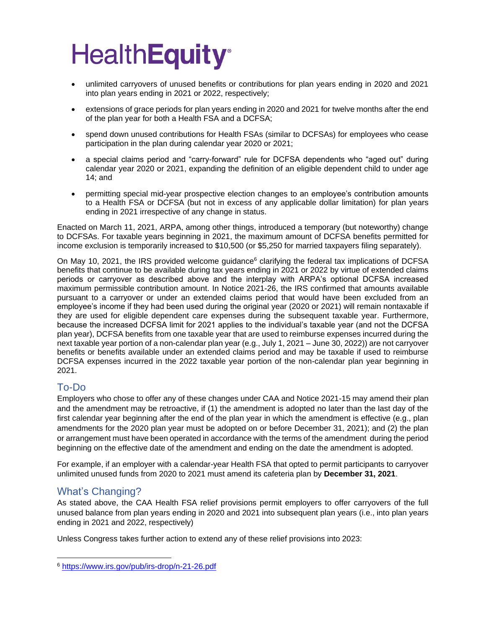- unlimited carryovers of unused benefits or contributions for plan years ending in 2020 and 2021 into plan years ending in 2021 or 2022, respectively;
- extensions of grace periods for plan years ending in 2020 and 2021 for twelve months after the end of the plan year for both a Health FSA and a DCFSA;
- spend down unused contributions for Health FSAs (similar to DCFSAs) for employees who cease participation in the plan during calendar year 2020 or 2021;
- a special claims period and "carry-forward" rule for DCFSA dependents who "aged out" during calendar year 2020 or 2021, expanding the definition of an eligible dependent child to under age 14; and
- permitting special mid-year prospective election changes to an employee's contribution amounts to a Health FSA or DCFSA (but not in excess of any applicable dollar limitation) for plan years ending in 2021 irrespective of any change in status.

Enacted on March 11, 2021, ARPA, among other things, introduced a temporary (but noteworthy) change to DCFSAs. For taxable years beginning in 2021, the maximum amount of DCFSA benefits permitted for income exclusion is temporarily increased to \$10,500 (or \$5,250 for married taxpayers filing separately).

On May 10, 2021, the IRS provided welcome guidance $<sup>6</sup>$  clarifying the federal tax implications of DCFSA</sup> benefits that continue to be available during tax years ending in 2021 or 2022 by virtue of extended claims periods or carryover as described above and the interplay with ARPA's optional DCFSA increased maximum permissible contribution amount. In Notice 2021-26, the IRS confirmed that amounts available pursuant to a carryover or under an extended claims period that would have been excluded from an employee's income if they had been used during the original year (2020 or 2021) will remain nontaxable if they are used for eligible dependent care expenses during the subsequent taxable year. Furthermore, because the increased DCFSA limit for 2021 applies to the individual's taxable year (and not the DCFSA plan year), DCFSA benefits from one taxable year that are used to reimburse expenses incurred during the next taxable year portion of a non-calendar plan year (e.g., July 1, 2021 – June 30, 2022)) are not carryover benefits or benefits available under an extended claims period and may be taxable if used to reimburse DCFSA expenses incurred in the 2022 taxable year portion of the non-calendar plan year beginning in 2021.

### To-Do

Employers who chose to offer any of these changes under CAA and Notice 2021-15 may amend their plan and the amendment may be retroactive, if (1) the amendment is adopted no later than the last day of the first calendar year beginning after the end of the plan year in which the amendment is effective (e.g., plan amendments for the 2020 plan year must be adopted on or before December 31, 2021); and (2) the plan or arrangement must have been operated in accordance with the terms of the amendment during the period beginning on the effective date of the amendment and ending on the date the amendment is adopted.

For example, if an employer with a calendar-year Health FSA that opted to permit participants to carryover unlimited unused funds from 2020 to 2021 must amend its cafeteria plan by **December 31, 2021**.

### What's Changing?

As stated above, the CAA Health FSA relief provisions permit employers to offer carryovers of the full unused balance from plan years ending in 2020 and 2021 into subsequent plan years (i.e., into plan years ending in 2021 and 2022, respectively)

Unless Congress takes further action to extend any of these relief provisions into 2023:

<sup>6</sup> <https://www.irs.gov/pub/irs-drop/n-21-26.pdf>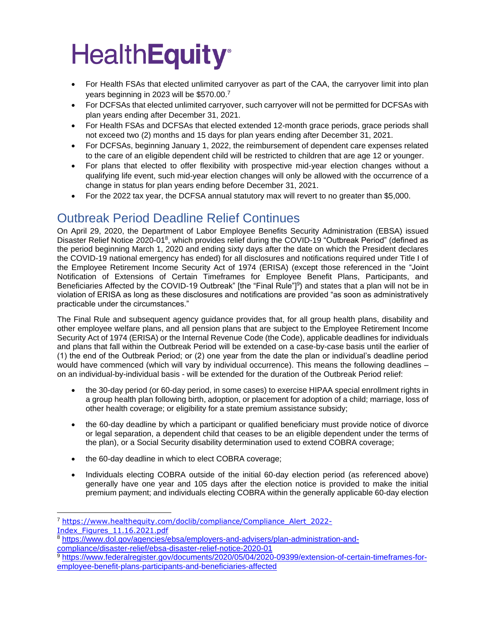- For Health FSAs that elected unlimited carryover as part of the CAA, the carryover limit into plan years beginning in 2023 will be \$570.00.<sup>7</sup>
- For DCFSAs that elected unlimited carryover, such carryover will not be permitted for DCFSAs with plan years ending after December 31, 2021.
- For Health FSAs and DCFSAs that elected extended 12-month grace periods, grace periods shall not exceed two (2) months and 15 days for plan years ending after December 31, 2021.
- For DCFSAs, beginning January 1, 2022, the reimbursement of dependent care expenses related to the care of an eligible dependent child will be restricted to children that are age 12 or younger.
- For plans that elected to offer flexibility with prospective mid-year election changes without a qualifying life event, such mid-year election changes will only be allowed with the occurrence of a change in status for plan years ending before December 31, 2021.
- For the 2022 tax year, the DCFSA annual statutory max will revert to no greater than \$5,000.

### Outbreak Period Deadline Relief Continues

On April 29, 2020, the Department of Labor Employee Benefits Security Administration (EBSA) issued Disaster Relief Notice 2020-01<sup>8</sup>, which provides relief during the COVID-19 "Outbreak Period" (defined as the period beginning March 1, 2020 and ending sixty days after the date on which the President declares the COVID-19 national emergency has ended) for all disclosures and notifications required under Title I of the Employee Retirement Income Security Act of 1974 (ERISA) (except those referenced in the "Joint Notification of Extensions of Certain Timeframes for Employee Benefit Plans, Participants, and Beneficiaries Affected by the COVID-19 Outbreak" [the "Final Rule"]<sup>9</sup>) and states that a plan will not be in violation of ERISA as long as these disclosures and notifications are provided "as soon as administratively practicable under the circumstances."

The Final Rule and subsequent agency guidance provides that, for all group health plans, disability and other employee welfare plans, and all pension plans that are subject to the Employee Retirement Income Security Act of 1974 (ERISA) or the Internal Revenue Code (the Code), applicable deadlines for individuals and plans that fall within the Outbreak Period will be extended on a case-by-case basis until the earlier of (1) the end of the Outbreak Period; or (2) one year from the date the plan or individual's deadline period would have commenced (which will vary by individual occurrence). This means the following deadlines – on an individual-by-individual basis - will be extended for the duration of the Outbreak Period relief:

- the 30-day period (or 60-day period, in some cases) to exercise HIPAA special enrollment rights in a group health plan following birth, adoption, or placement for adoption of a child; marriage, loss of other health coverage; or eligibility for a state premium assistance subsidy;
- the 60-day deadline by which a participant or qualified beneficiary must provide notice of divorce or legal separation, a dependent child that ceases to be an eligible dependent under the terms of the plan), or a Social Security disability determination used to extend COBRA coverage;
- the 60-day deadline in which to elect COBRA coverage;
- Individuals electing COBRA outside of the initial 60-day election period (as referenced above) generally have one year and 105 days after the election notice is provided to make the initial premium payment; and individuals electing COBRA within the generally applicable 60-day election

<sup>7</sup> [https://www.healthequity.com/doclib/compliance/Compliance\\_Alert\\_2022-](https://www.healthequity.com/doclib/compliance/Compliance_Alert_2022-Index_Figures_11.16.2021.pdf) [Index\\_Figures\\_11.16.2021.pdf](https://www.healthequity.com/doclib/compliance/Compliance_Alert_2022-Index_Figures_11.16.2021.pdf)

<sup>8</sup> [https://www.dol.gov/agencies/ebsa/employers-and-advisers/plan-administration-and](https://www.dol.gov/agencies/ebsa/employers-and-advisers/plan-administration-and-compliance/disaster-relief/ebsa-disaster-relief-notice-2020-01)[compliance/disaster-relief/ebsa-disaster-relief-notice-2020-01](https://www.dol.gov/agencies/ebsa/employers-and-advisers/plan-administration-and-compliance/disaster-relief/ebsa-disaster-relief-notice-2020-01)

<sup>9</sup> [https://www.federalregister.gov/documents/2020/05/04/2020-09399/extension-of-certain-timeframes-for](https://www.federalregister.gov/documents/2020/05/04/2020-09399/extension-of-certain-timeframes-for-employee-benefit-plans-participants-and-beneficiaries-affected)[employee-benefit-plans-participants-and-beneficiaries-affected](https://www.federalregister.gov/documents/2020/05/04/2020-09399/extension-of-certain-timeframes-for-employee-benefit-plans-participants-and-beneficiaries-affected)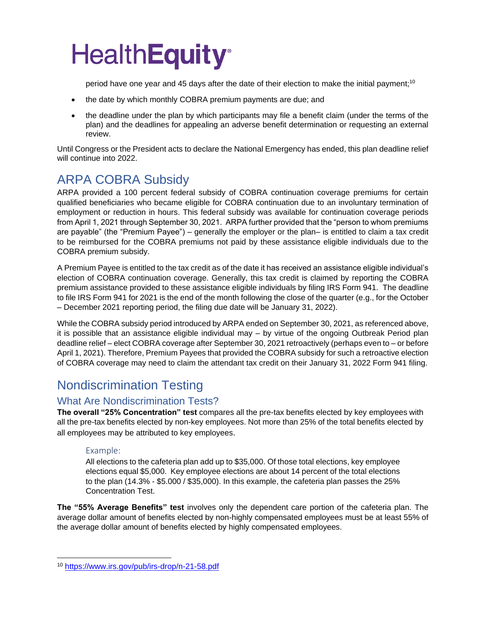period have one year and 45 days after the date of their election to make the initial payment;<sup>10</sup>

- the date by which monthly COBRA premium payments are due; and
- the deadline under the plan by which participants may file a benefit claim (under the terms of the plan) and the deadlines for appealing an adverse benefit determination or requesting an external review.

Until Congress or the President acts to declare the National Emergency has ended, this plan deadline relief will continue into 2022.

## ARPA COBRA Subsidy

ARPA provided a 100 percent federal subsidy of COBRA continuation coverage premiums for certain qualified beneficiaries who became eligible for COBRA continuation due to an involuntary termination of employment or reduction in hours. This federal subsidy was available for continuation coverage periods from April 1, 2021 through September 30, 2021. ARPA further provided that the "person to whom premiums are payable" (the "Premium Payee") – generally the employer or the plan– is entitled to claim a tax credit to be reimbursed for the COBRA premiums not paid by these assistance eligible individuals due to the COBRA premium subsidy.

A Premium Payee is entitled to the tax credit as of the date it has received an assistance eligible individual's election of COBRA continuation coverage. Generally, this tax credit is claimed by reporting the COBRA premium assistance provided to these assistance eligible individuals by filing IRS Form 941. The deadline to file IRS Form 941 for 2021 is the end of the month following the close of the quarter (e.g., for the October – December 2021 reporting period, the filing due date will be January 31, 2022).

While the COBRA subsidy period introduced by ARPA ended on September 30, 2021, as referenced above, it is possible that an assistance eligible individual may – by virtue of the ongoing Outbreak Period plan deadline relief – elect COBRA coverage after September 30, 2021 retroactively (perhaps even to – or before April 1, 2021). Therefore, Premium Payees that provided the COBRA subsidy for such a retroactive election of COBRA coverage may need to claim the attendant tax credit on their January 31, 2022 Form 941 filing.

### Nondiscrimination Testing

### What Are Nondiscrimination Tests?

**The overall "25% Concentration" test** compares all the pre-tax benefits elected by key employees with all the pre-tax benefits elected by non-key employees. Not more than 25% of the total benefits elected by all employees may be attributed to key employees.

#### Example:

All elections to the cafeteria plan add up to \$35,000. Of those total elections, key employee elections equal \$5,000. Key employee elections are about 14 percent of the total elections to the plan (14.3% - \$5.000 / \$35,000). In this example, the cafeteria plan passes the 25% Concentration Test.

**The "55% Average Benefits" test** involves only the dependent care portion of the cafeteria plan. The average dollar amount of benefits elected by non-highly compensated employees must be at least 55% of the average dollar amount of benefits elected by highly compensated employees.

<sup>10</sup> <https://www.irs.gov/pub/irs-drop/n-21-58.pdf>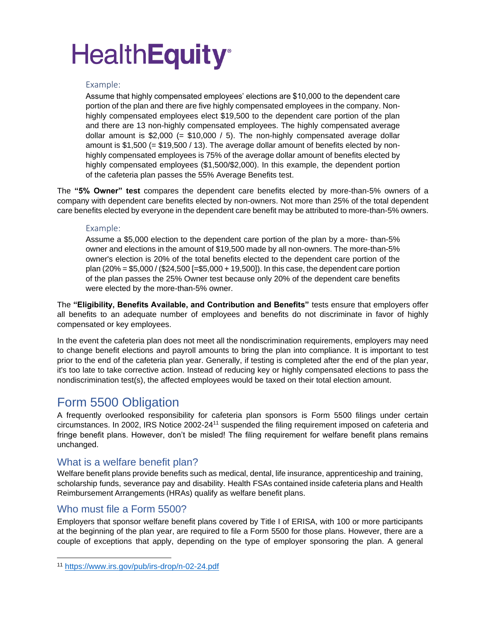#### Example:

Assume that highly compensated employees' elections are \$10,000 to the dependent care portion of the plan and there are five highly compensated employees in the company. Nonhighly compensated employees elect \$19,500 to the dependent care portion of the plan and there are 13 non-highly compensated employees. The highly compensated average dollar amount is  $$2,000 (= $10,000 / 5)$ . The non-highly compensated average dollar amount is  $$1,500 (= $19,500 / 13)$ . The average dollar amount of benefits elected by nonhighly compensated employees is 75% of the average dollar amount of benefits elected by highly compensated employees (\$1,500/\$2,000). In this example, the dependent portion of the cafeteria plan passes the 55% Average Benefits test.

The **"5% Owner" test** compares the dependent care benefits elected by more-than-5% owners of a company with dependent care benefits elected by non-owners. Not more than 25% of the total dependent care benefits elected by everyone in the dependent care benefit may be attributed to more-than-5% owners.

#### Example:

Assume a \$5,000 election to the dependent care portion of the plan by a more- than-5% owner and elections in the amount of \$19,500 made by all non-owners. The more-than-5% owner's election is 20% of the total benefits elected to the dependent care portion of the plan (20% = \$5,000 / (\$24,500 [=\$5,000 + 19,500]). In this case, the dependent care portion of the plan passes the 25% Owner test because only 20% of the dependent care benefits were elected by the more-than-5% owner.

The **"Eligibility, Benefits Available, and Contribution and Benefits"** tests ensure that employers offer all benefits to an adequate number of employees and benefits do not discriminate in favor of highly compensated or key employees.

In the event the cafeteria plan does not meet all the nondiscrimination requirements, employers may need to change benefit elections and payroll amounts to bring the plan into compliance. It is important to test prior to the end of the cafeteria plan year. Generally, if testing is completed after the end of the plan year, it's too late to take corrective action. Instead of reducing key or highly compensated elections to pass the nondiscrimination test(s), the affected employees would be taxed on their total election amount.

### Form 5500 Obligation

A frequently overlooked responsibility for cafeteria plan sponsors is Form 5500 filings under certain circumstances. In 2002, IRS Notice 2002-24<sup>11</sup> suspended the filing requirement imposed on cafeteria and fringe benefit plans. However, don't be misled! The filing requirement for welfare benefit plans remains unchanged.

#### What is a welfare benefit plan?

Welfare benefit plans provide benefits such as medical, dental, life insurance, apprenticeship and training, scholarship funds, severance pay and disability. Health FSAs contained inside cafeteria plans and Health Reimbursement Arrangements (HRAs) qualify as welfare benefit plans.

### Who must file a Form 5500?

Employers that sponsor welfare benefit plans covered by Title I of ERISA, with 100 or more participants at the beginning of the plan year, are required to file a Form 5500 for those plans. However, there are a couple of exceptions that apply, depending on the type of employer sponsoring the plan. A general

<sup>11</sup> <https://www.irs.gov/pub/irs-drop/n-02-24.pdf>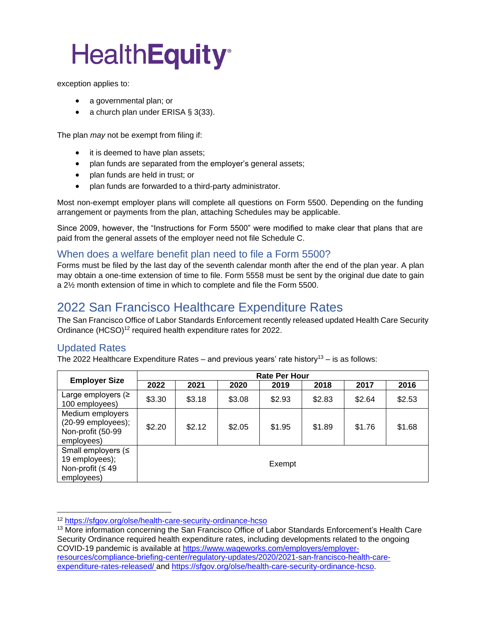exception applies to:

- a governmental plan; or
- a church plan under ERISA § 3(33).

The plan *may* not be exempt from filing if:

- it is deemed to have plan assets;
- plan funds are separated from the employer's general assets;
- plan funds are held in trust; or
- plan funds are forwarded to a third-party administrator.

Most non-exempt employer plans will complete all questions on Form 5500. Depending on the funding arrangement or payments from the plan, attaching Schedules may be applicable.

Since 2009, however, the "Instructions for Form 5500" were modified to make clear that plans that are paid from the general assets of the employer need not file Schedule C.

#### When does a welfare benefit plan need to file a Form 5500?

Forms must be filed by the last day of the seventh calendar month after the end of the plan year. A plan may obtain a one-time extension of time to file. Form 5558 must be sent by the original due date to gain a 2½ month extension of time in which to complete and file the Form 5500.

### 2022 San Francisco Healthcare Expenditure Rates

The San Francisco Office of Labor Standards Enforcement recently released updated Health Care Security Ordinance (HCSO)<sup>12</sup> required health expenditure rates for 2022.

### Updated Rates

The 2022 Healthcare Expenditure Rates – and previous years' rate history<sup>13</sup> – is as follows:

| <b>Employer Size</b>                                                          | <b>Rate Per Hour</b> |        |        |        |        |        |        |
|-------------------------------------------------------------------------------|----------------------|--------|--------|--------|--------|--------|--------|
|                                                                               | 2022                 | 2021   | 2020   | 2019   | 2018   | 2017   | 2016   |
| Large employers $($<br>100 employees)                                         | \$3.30               | \$3.18 | \$3.08 | \$2.93 | \$2.83 | \$2.64 | \$2.53 |
| Medium employers<br>$(20-99$ employees);<br>Non-profit (50-99<br>employees)   | \$2.20               | \$2.12 | \$2.05 | \$1.95 | \$1.89 | \$1.76 | \$1.68 |
| Small employers $($<br>19 employees);<br>Non-profit ( $\leq 49$<br>employees) |                      |        |        | Exempt |        |        |        |

<sup>12</sup> <https://sfgov.org/olse/health-care-security-ordinance-hcso>

<sup>&</sup>lt;sup>13</sup> More information concerning the San Francisco Office of Labor Standards Enforcement's Health Care Security Ordinance required health expenditure rates, including developments related to the ongoing COVID-19 pandemic is available at [https://www.wageworks.com/employers/employer](https://www.wageworks.com/employers/employer-resources/compliance-briefing-center/regulatory-updates/2020/2021-san-francisco-health-care-expenditure-rates-released/)[resources/compliance-briefing-center/regulatory-updates/2020/2021-san-francisco-health-care](https://www.wageworks.com/employers/employer-resources/compliance-briefing-center/regulatory-updates/2020/2021-san-francisco-health-care-expenditure-rates-released/)[expenditure-rates-released/](https://www.wageworks.com/employers/employer-resources/compliance-briefing-center/regulatory-updates/2020/2021-san-francisco-health-care-expenditure-rates-released/) and https://sfgov.org/olse/health-care-security-ordinance-hcso.